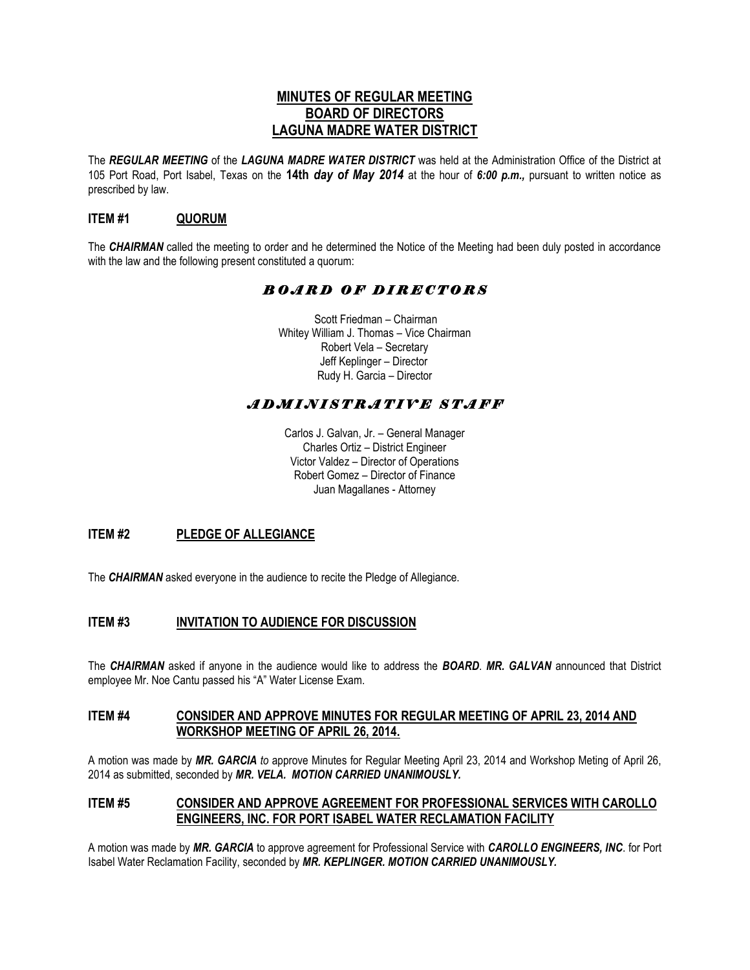# **MINUTES OF REGULAR MEETING BOARD OF DIRECTORS LAGUNA MADRE WATER DISTRICT**

The *REGULAR MEETING* of the *LAGUNA MADRE WATER DISTRICT* was held at the Administration Office of the District at 105 Port Road, Port Isabel, Texas on the **14th** *day of May 2014* at the hour of *6:00 p.m.,* pursuant to written notice as prescribed by law.

# **ITEM #1 QUORUM**

The *CHAIRMAN* called the meeting to order and he determined the Notice of the Meeting had been duly posted in accordance with the law and the following present constituted a quorum:

# *B O A R D O F D I R E C T O R S*

 Scott Friedman – Chairman Whitey William J. Thomas – Vice Chairman Robert Vela – Secretary Jeff Keplinger – Director Rudy H. Garcia – Director

# *A D M I N I S T R A T I V E S T A F F*

Carlos J. Galvan, Jr. – General Manager Charles Ortiz – District Engineer Victor Valdez – Director of Operations Robert Gomez – Director of Finance Juan Magallanes - Attorney

# **ITEM #2 PLEDGE OF ALLEGIANCE**

The *CHAIRMAN* asked everyone in the audience to recite the Pledge of Allegiance.

## **ITEM #3 INVITATION TO AUDIENCE FOR DISCUSSION**

The *CHAIRMAN* asked if anyone in the audience would like to address the *BOARD*. *MR. GALVAN* announced that District employee Mr. Noe Cantu passed his "A" Water License Exam.

## **ITEM #4 CONSIDER AND APPROVE MINUTES FOR REGULAR MEETING OF APRIL 23, 2014 AND WORKSHOP MEETING OF APRIL 26, 2014.**

A motion was made by *MR. GARCIA to* approve Minutes for Regular Meeting April 23, 2014 and Workshop Meting of April 26, 2014 as submitted, seconded by *MR. VELA. MOTION CARRIED UNANIMOUSLY.*

#### **ITEM #5 CONSIDER AND APPROVE AGREEMENT FOR PROFESSIONAL SERVICES WITH CAROLLO ENGINEERS, INC. FOR PORT ISABEL WATER RECLAMATION FACILITY**

A motion was made by *MR. GARCIA* to approve agreement for Professional Service with *CAROLLO ENGINEERS, INC*. for Port Isabel Water Reclamation Facility, seconded by *MR. KEPLINGER. MOTION CARRIED UNANIMOUSLY.*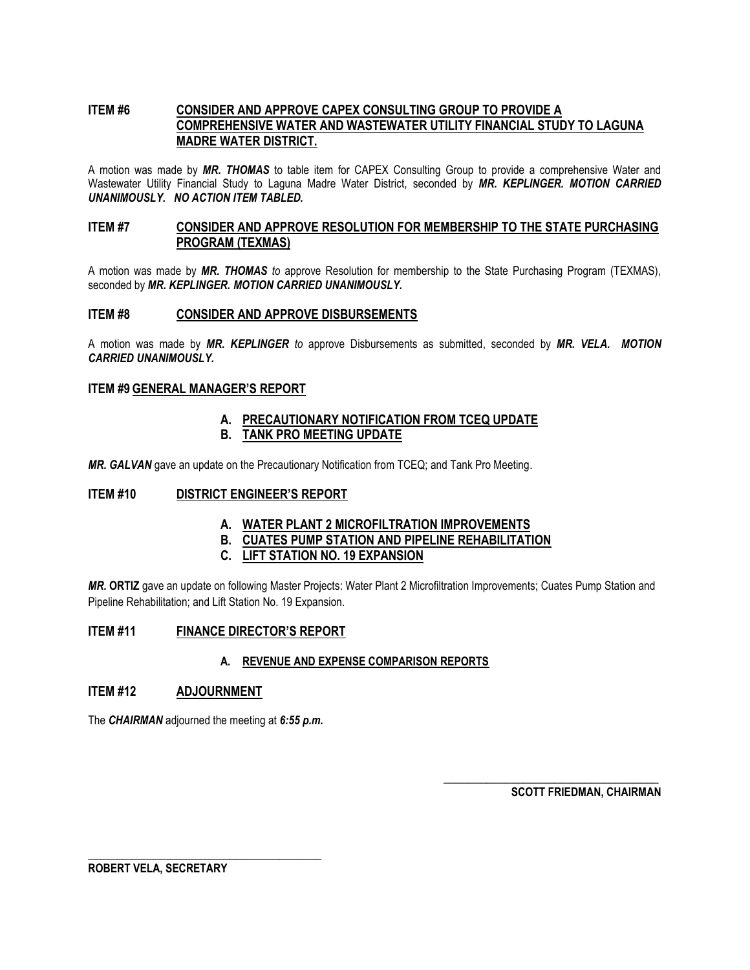# **ITEM #6 CONSIDER AND APPROVE CAPEX CONSULTING GROUP TO PROVIDE A COMPREHENSIVE WATER AND WASTEWATER UTILITY FINANCIAL STUDY TO LAGUNA MADRE WATER DISTRICT.**

A motion was made by *MR. THOMAS* to table item for CAPEX Consulting Group to provide a comprehensive Water and Wastewater Utility Financial Study to Laguna Madre Water District, seconded by *MR. KEPLINGER. MOTION CARRIED UNANIMOUSLY. NO ACTION ITEM TABLED.*

# **ITEM #7 CONSIDER AND APPROVE RESOLUTION FOR MEMBERSHIP TO THE STATE PURCHASING PROGRAM (TEXMAS)**

A motion was made by *MR. THOMAS to* approve Resolution for membership to the State Purchasing Program (TEXMAS), seconded by *MR. KEPLINGER. MOTION CARRIED UNANIMOUSLY.*

#### **ITEM #8 CONSIDER AND APPROVE DISBURSEMENTS**

A motion was made by *MR. KEPLINGER to* approve Disbursements as submitted, seconded by *MR. VELA. MOTION CARRIED UNANIMOUSLY.*

#### **ITEM #9 GENERAL MANAGER'S REPORT**

#### **A. PRECAUTIONARY NOTIFICATION FROM TCEQ UPDATE B. TANK PRO MEETING UPDATE**

*MR. GALVAN* gave an update on the Precautionary Notification from TCEQ; and Tank Pro Meeting.

## **ITEM #10 DISTRICT ENGINEER'S REPORT**

## **A. WATER PLANT 2 MICROFILTRATION IMPROVEMENTS**

**B. CUATES PUMP STATION AND PIPELINE REHABILITATION** 

## **C. LIFT STATION NO. 19 EXPANSION**

*MR.* **ORTIZ** gave an update on following Master Projects: Water Plant 2 Microfiltration Improvements; Cuates Pump Station and Pipeline Rehabilitation; and Lift Station No. 19 Expansion.

## **ITEM #11 FINANCE DIRECTOR'S REPORT**

#### **A. REVENUE AND EXPENSE COMPARISON REPORTS**

#### **ITEM #12 ADJOURNMENT**

The *CHAIRMAN* adjourned the meeting at *6:55 p.m.*

**\_\_\_\_\_\_\_\_\_\_\_\_\_\_\_\_\_\_\_\_\_\_\_\_\_\_\_\_\_\_\_\_\_\_\_\_\_\_**

**SCOTT FRIEDMAN, CHAIRMAN**

**\_\_\_\_\_\_\_\_\_\_\_\_\_\_\_\_\_\_\_\_\_\_\_\_\_\_\_\_\_\_\_\_\_\_\_**

**ROBERT VELA, SECRETARY**